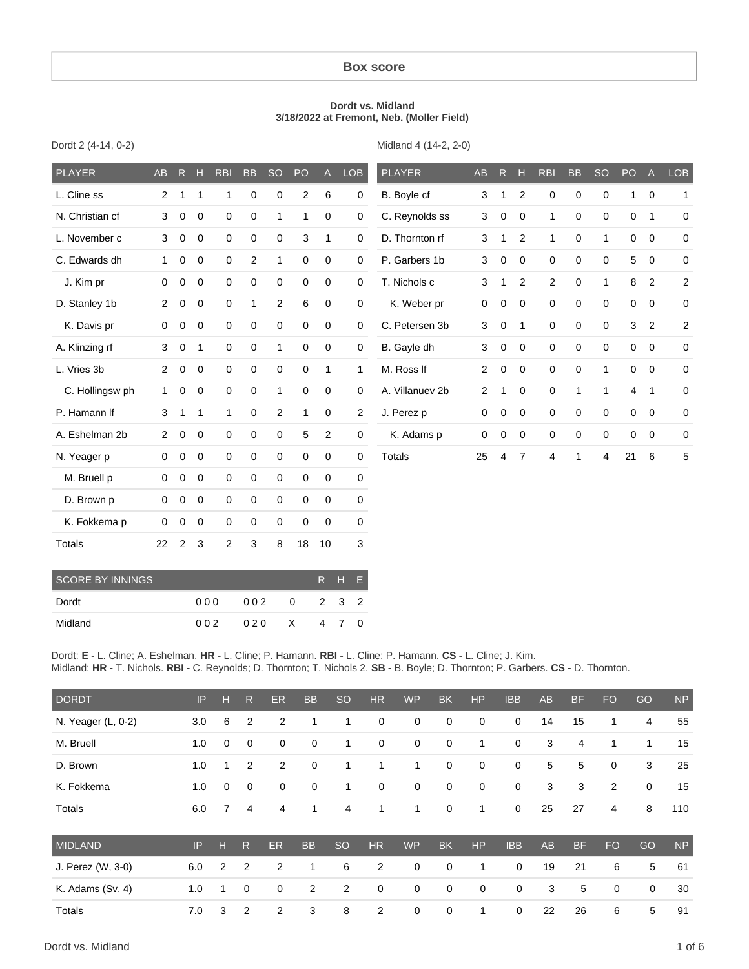#### **Box score**

#### **Dordt vs. Midland 3/18/2022 at Fremont, Neb. (Moller Field)**

|  |  | Dordt 2 (4-14, 0-2) |  |
|--|--|---------------------|--|
|--|--|---------------------|--|

Midland 4 (14-2, 2-0)

| <b>PLAYER</b>   | AB             | $\mathsf{R}$ | н              | <b>RBI</b>  | <b>BB</b>      | <b>SO</b>    | PO             | $\mathsf{A}$ | <b>LOB</b> | <b>PLAYER</b>   | AB             | R           | $\mathbb{H}$   | <b>RBI</b>     | <b>BB</b>    | <b>SO</b>    | PO             | A              | <b>LOB</b>   |
|-----------------|----------------|--------------|----------------|-------------|----------------|--------------|----------------|--------------|------------|-----------------|----------------|-------------|----------------|----------------|--------------|--------------|----------------|----------------|--------------|
| L. Cline ss     | 2              | 1            | 1              | 1           | 0              | $\mathbf 0$  | $\overline{2}$ | 6            | 0          | B. Boyle cf     | 3              |             | $\overline{2}$ | $\mathbf 0$    | $\mathbf 0$  | 0            | 1              | $\overline{0}$ | $\mathbf{1}$ |
| N. Christian cf | 3              | $\mathbf 0$  | $\mathbf 0$    | $\mathbf 0$ | 0              | 1            | 1              | $\mathbf 0$  | 0          | C. Reynolds ss  | 3              | $\mathbf 0$ | $\Omega$       | 1              | 0            | $\mathbf 0$  | 0              | 1              | 0            |
| L. November c   | 3              | $\mathbf 0$  | $\mathbf 0$    | 0           | 0              | 0            | 3              | 1            | 0          | D. Thornton rf  | 3              | 1           | 2              | $\mathbf{1}$   | 0            | 1            | 0              | $\mathbf 0$    | 0            |
| C. Edwards dh   | $\mathbf{1}$   | $\mathbf 0$  | $\overline{0}$ | $\mathbf 0$ | $\overline{2}$ | $\mathbf{1}$ | $\mathbf 0$    | $\mathbf 0$  | 0          | P. Garbers 1b   | 3              | $\mathbf 0$ | $\mathbf 0$    | $\mathbf 0$    | $\mathbf 0$  | $\mathbf 0$  | 5              | $\overline{0}$ | $\pmb{0}$    |
| J. Kim pr       | 0              | $\mathbf 0$  | $\mathbf 0$    | $\mathbf 0$ | 0              | $\mathbf 0$  | $\mathbf 0$    | 0            | 0          | T. Nichols c    | 3              | 1           | 2              | $\overline{2}$ | $\mathbf 0$  | 1            | 8              | $\overline{2}$ | 2            |
| D. Stanley 1b   | $\overline{2}$ | 0            | $\mathbf 0$    | 0           | 1              | 2            | 6              | 0            | 0          | K. Weber pr     | 0              | $\mathbf 0$ | $\mathbf 0$    | $\mathbf 0$    | 0            | 0            | 0              | 0              | 0            |
| K. Davis pr     | $\mathbf 0$    | 0            | $\mathbf 0$    | $\mathbf 0$ | $\mathbf 0$    | $\mathbf 0$  | 0              | $\mathbf 0$  | 0          | C. Petersen 3b  | 3              | $\mathbf 0$ | 1              | $\mathbf 0$    | $\mathbf 0$  | $\Omega$     | 3              | 2              | 2            |
| A. Klinzing rf  | 3              | $\mathbf 0$  | 1              | $\mathbf 0$ | 0              | 1            | $\mathbf 0$    | $\mathbf 0$  | 0          | B. Gayle dh     | 3              | $\mathbf 0$ | $\mathbf 0$    | $\mathbf 0$    | 0            | $\mathbf 0$  | 0              | $\mathbf 0$    | $\mathbf 0$  |
| L. Vries 3b     | $\overline{2}$ | $\mathbf 0$  | $\overline{0}$ | $\mathbf 0$ | $\mathbf 0$    | $\mathbf 0$  | $\mathbf 0$    | $\mathbf{1}$ | 1          | M. Ross If      | $\overline{2}$ | $\mathbf 0$ | $\mathbf 0$    | $\mathbf 0$    | $\mathbf 0$  | 1            | $\mathbf 0$    | $\overline{0}$ | $\pmb{0}$    |
| C. Hollingsw ph | $\mathbf{1}$   | $\mathbf 0$  | $\overline{0}$ | $\mathbf 0$ | 0              | 1            | $\mathbf 0$    | $\mathbf 0$  | 0          | A. Villanuev 2b | $\overline{2}$ | 1           | $\mathbf 0$    | $\mathbf 0$    | $\mathbf{1}$ | $\mathbf{1}$ | $\overline{4}$ | $\mathbf{1}$   | 0            |
| P. Hamann If    | 3              | 1            | 1              | 1           | 0              | 2            | 1              | 0            | 2          | J. Perez p      | 0              | $\mathbf 0$ | $\mathbf 0$    | $\mathbf 0$    | 0            | 0            | 0              | $\mathbf 0$    | 0            |
| A. Eshelman 2b  | $\overline{2}$ | $\mathbf 0$  | $\mathbf 0$    | $\mathbf 0$ | $\mathbf 0$    | $\mathbf 0$  | 5              | 2            | 0          | K. Adams p      | 0              | $\mathbf 0$ | $\mathbf 0$    | $\mathbf 0$    | 0            | $\mathbf 0$  | $\mathbf 0$    | $\mathbf 0$    | $\mathbf 0$  |
| N. Yeager p     | 0              | $\mathbf 0$  | $\mathbf 0$    | 0           | 0              | 0            | $\mathbf 0$    | $\mathbf 0$  | 0          | <b>Totals</b>   | 25             | 4           | $\overline{7}$ | 4              | $\mathbf{1}$ | 4            | 21             | 6              | 5            |
| M. Bruell p     | 0              | $\mathbf 0$  | $\mathbf 0$    | 0           | 0              | $\mathbf 0$  | $\mathbf 0$    | 0            | 0          |                 |                |             |                |                |              |              |                |                |              |
| D. Brown p      | $\mathbf 0$    | $\mathbf 0$  | $\mathbf 0$    | $\mathbf 0$ | $\mathbf 0$    | $\mathbf 0$  | $\mathbf 0$    | $\mathbf 0$  | 0          |                 |                |             |                |                |              |              |                |                |              |
| K. Fokkema p    | $\mathbf 0$    | 0            | $\mathbf 0$    | $\mathbf 0$ | $\mathbf 0$    | $\mathbf 0$  | 0              | $\mathbf 0$  | 0          |                 |                |             |                |                |              |              |                |                |              |
|                 |                |              |                |             |                |              |                |              |            |                 |                |             |                |                |              |              |                |                |              |

| SCORE BY INNINGS |      |       |         |     | R H E |  |
|------------------|------|-------|---------|-----|-------|--|
| Dordt            | 00 Q | 002   | 0 2 3 2 |     |       |  |
| Midland          | 002  | 020 X |         | 470 |       |  |

Totals 22 2 3 2 3 8 18 10 3

Dordt: **E -** L. Cline; A. Eshelman. **HR -** L. Cline; P. Hamann. **RBI -** L. Cline; P. Hamann. **CS -** L. Cline; J. Kim. Midland: **HR -** T. Nichols. **RBI -** C. Reynolds; D. Thornton; T. Nichols 2. **SB -** B. Boyle; D. Thornton; P. Garbers. **CS -** D. Thornton.

| <b>DORDT</b>       | IP  | н              | R           | <b>ER</b>      | <b>BB</b>   | <b>SO</b>      | <b>HR</b>    | <b>WP</b>    | <b>BK</b>   | HP           | <b>IBB</b>  | AB        | <b>BF</b> | <b>FO</b>      | GO           | <b>NP</b> |
|--------------------|-----|----------------|-------------|----------------|-------------|----------------|--------------|--------------|-------------|--------------|-------------|-----------|-----------|----------------|--------------|-----------|
| N. Yeager (L, 0-2) | 3.0 | 6              | 2           | 2              | 1           | 1              | 0            | 0            | $\mathbf 0$ | 0            | 0           | 14        | 15        | 1              | 4            | 55        |
| M. Bruell          | 1.0 | $\mathbf 0$    | $\mathbf 0$ | $\mathbf 0$    | $\mathbf 0$ | 1              | 0            | $\mathbf 0$  | 0           | 1            | 0           | 3         | 4         | 1              | $\mathbf{1}$ | 15        |
| D. Brown           | 1.0 | $\mathbf{1}$   | 2           | 2              | $\mathbf 0$ | $\mathbf{1}$   | $\mathbf{1}$ | $\mathbf{1}$ | $\mathbf 0$ | $\mathbf 0$  | $\mathbf 0$ | 5         | 5         | $\mathbf 0$    | 3            | 25        |
| K. Fokkema         | 1.0 | $\mathbf 0$    | 0           | $\mathbf 0$    | $\mathbf 0$ | 1              | 0            | 0            | 0           | 0            | 0           | 3         | 3         | 2              | 0            | 15        |
| Totals             | 6.0 | 7              | 4           | 4              | 1           | $\overline{4}$ | 1            | $\mathbf{1}$ | $\mathbf 0$ | $\mathbf{1}$ | $\mathbf 0$ | 25        | 27        | $\overline{4}$ | 8            | 110       |
| <b>MIDLAND</b>     | IP  | н              | R           | <b>ER</b>      | <b>BB</b>   | <b>SO</b>      | <b>HR</b>    | <b>WP</b>    | <b>BK</b>   | <b>HP</b>    | <b>IBB</b>  | <b>AB</b> | <b>BF</b> | <b>FO</b>      | GO           | <b>NP</b> |
| J. Perez (W, 3-0)  | 6.0 | $\overline{2}$ | 2           | 2              | 1           | 6              | 2            | $\mathbf 0$  | $\mathbf 0$ | 1            | $\mathbf 0$ | 19        | 21        | 6              | 5            | 61        |
| K. Adams (Sv, 4)   | 1.0 | 1              | 0           | 0              | 2           | 2              | 0            | 0            | 0           | $\mathbf 0$  | $\mathbf 0$ | 3         | 5         | $\mathbf 0$    | $\mathbf 0$  | 30        |
| Totals             | 7.0 | 3              | 2           | $\overline{2}$ | 3           | 8              | 2            | 0            | 0           | 1            | $\mathbf 0$ | 22        | 26        | 6              | 5            | 91        |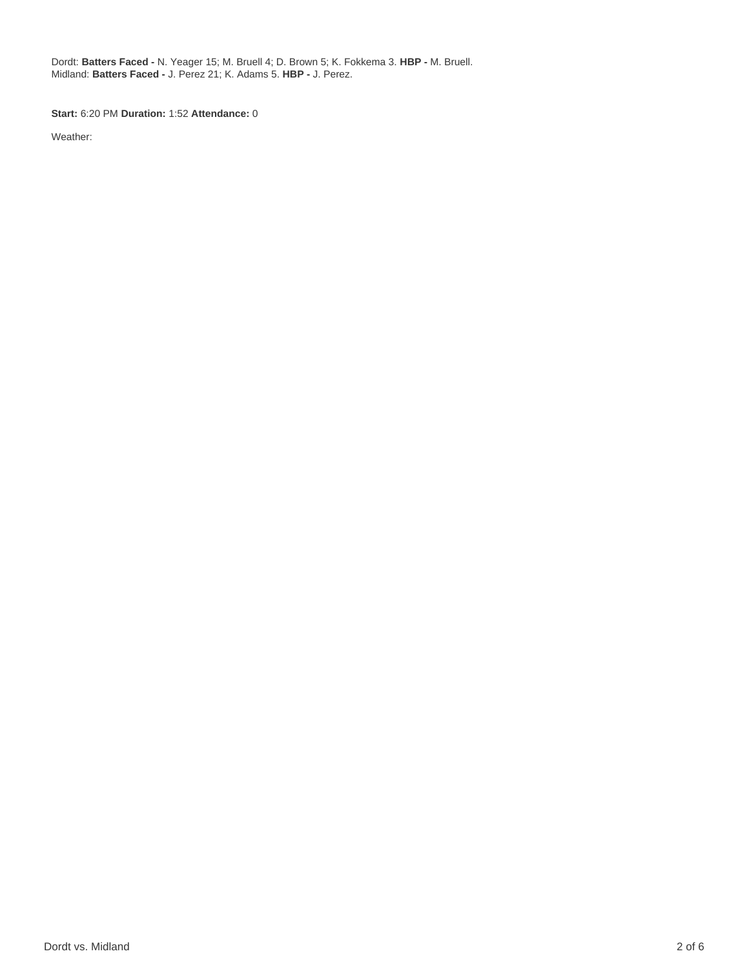Dordt: **Batters Faced -** N. Yeager 15; M. Bruell 4; D. Brown 5; K. Fokkema 3. **HBP -** M. Bruell. Midland: **Batters Faced -** J. Perez 21; K. Adams 5. **HBP -** J. Perez.

**Start:** 6:20 PM **Duration:** 1:52 **Attendance:** 0

Weather: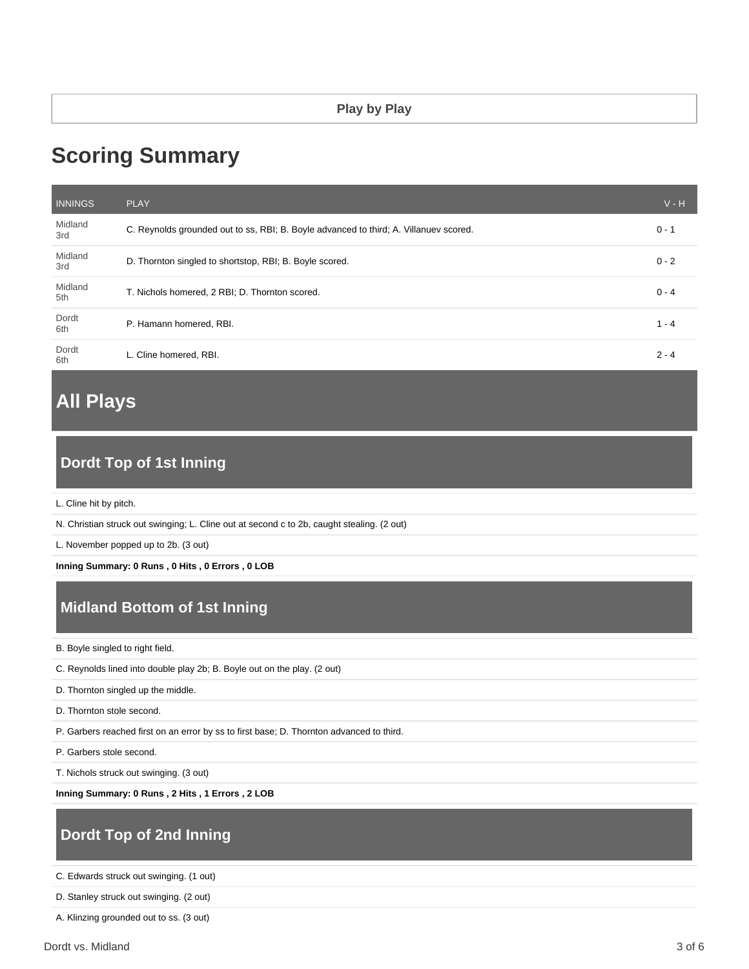# **Scoring Summary**

| <b>INNINGS</b> | <b>PLAY</b>                                                                           | $V - H$ |
|----------------|---------------------------------------------------------------------------------------|---------|
| Midland<br>3rd | C. Reynolds grounded out to ss, RBI; B. Boyle advanced to third; A. Villanuev scored. | $0 - 1$ |
| Midland<br>3rd | D. Thornton singled to shortstop, RBI; B. Boyle scored.                               | $0 - 2$ |
| Midland<br>5th | T. Nichols homered, 2 RBI; D. Thornton scored.                                        | $0 - 4$ |
| Dordt<br>6th   | P. Hamann homered, RBI.                                                               | $1 - 4$ |
| Dordt<br>6th   | L. Cline homered, RBI.                                                                | $2 - 4$ |

# **All Plays**

# **Dordt Top of 1st Inning**

L. Cline hit by pitch.

N. Christian struck out swinging; L. Cline out at second c to 2b, caught stealing. (2 out)

L. November popped up to 2b. (3 out)

**Inning Summary: 0 Runs , 0 Hits , 0 Errors , 0 LOB**

# **Midland Bottom of 1st Inning**

B. Boyle singled to right field.

C. Reynolds lined into double play 2b; B. Boyle out on the play. (2 out)

D. Thornton singled up the middle.

D. Thornton stole second.

P. Garbers reached first on an error by ss to first base; D. Thornton advanced to third.

P. Garbers stole second.

T. Nichols struck out swinging. (3 out)

**Inning Summary: 0 Runs , 2 Hits , 1 Errors , 2 LOB**

## **Dordt Top of 2nd Inning**

C. Edwards struck out swinging. (1 out)

D. Stanley struck out swinging. (2 out)

A. Klinzing grounded out to ss. (3 out)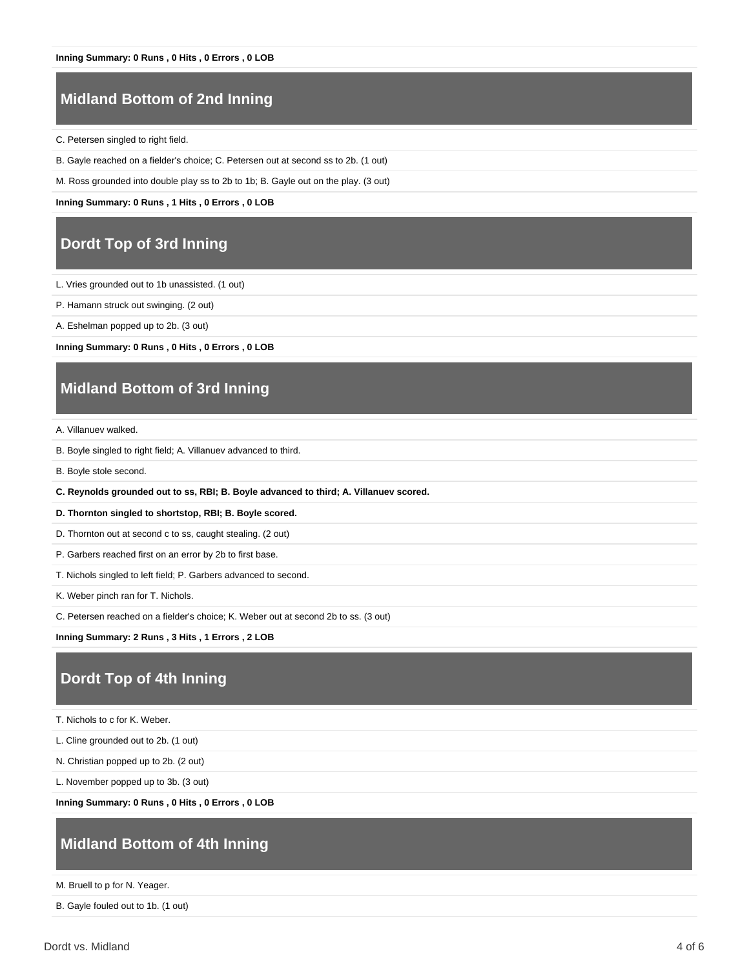# **Midland Bottom of 2nd Inning**

C. Petersen singled to right field.

B. Gayle reached on a fielder's choice; C. Petersen out at second ss to 2b. (1 out)

M. Ross grounded into double play ss to 2b to 1b; B. Gayle out on the play. (3 out)

**Inning Summary: 0 Runs , 1 Hits , 0 Errors , 0 LOB**

#### **Dordt Top of 3rd Inning**

L. Vries grounded out to 1b unassisted. (1 out)

P. Hamann struck out swinging. (2 out)

A. Eshelman popped up to 2b. (3 out)

**Inning Summary: 0 Runs , 0 Hits , 0 Errors , 0 LOB**

### **Midland Bottom of 3rd Inning**

A. Villanuev walked.

B. Boyle singled to right field; A. Villanuev advanced to third.

B. Boyle stole second.

**C. Reynolds grounded out to ss, RBI; B. Boyle advanced to third; A. Villanuev scored.**

**D. Thornton singled to shortstop, RBI; B. Boyle scored.**

D. Thornton out at second c to ss, caught stealing. (2 out)

P. Garbers reached first on an error by 2b to first base.

T. Nichols singled to left field; P. Garbers advanced to second.

K. Weber pinch ran for T. Nichols.

C. Petersen reached on a fielder's choice; K. Weber out at second 2b to ss. (3 out)

**Inning Summary: 2 Runs , 3 Hits , 1 Errors , 2 LOB**

#### **Dordt Top of 4th Inning**

T. Nichols to c for K. Weber.

L. Cline grounded out to 2b. (1 out)

N. Christian popped up to 2b. (2 out)

L. November popped up to 3b. (3 out)

**Inning Summary: 0 Runs , 0 Hits , 0 Errors , 0 LOB**

### **Midland Bottom of 4th Inning**

M. Bruell to p for N. Yeager.

B. Gayle fouled out to 1b. (1 out)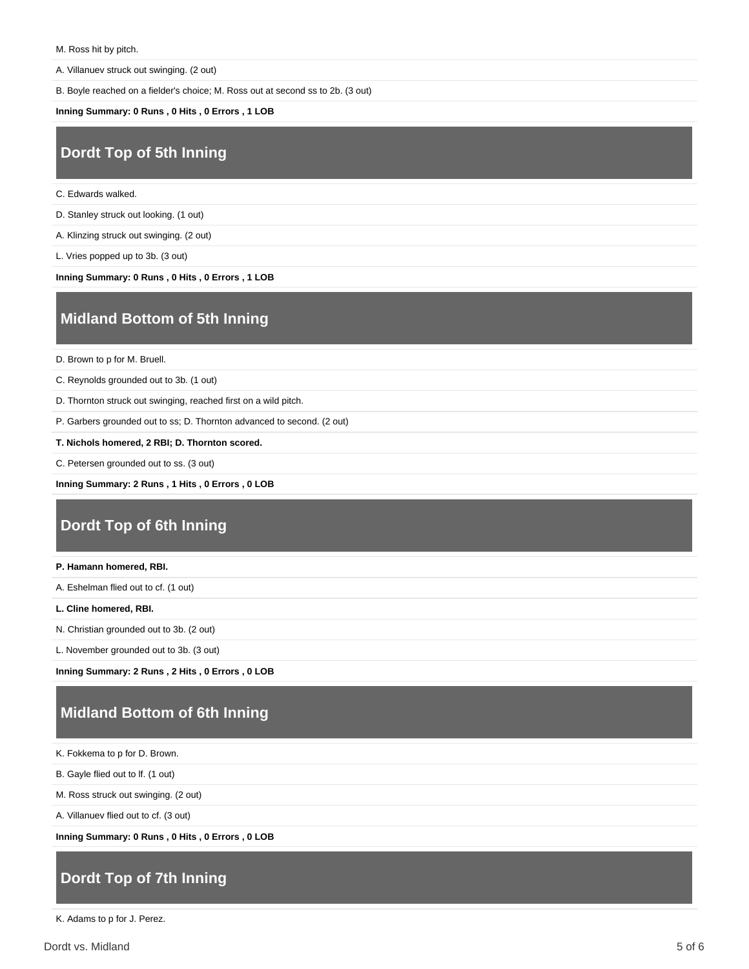A. Villanuev struck out swinging. (2 out)

B. Boyle reached on a fielder's choice; M. Ross out at second ss to 2b. (3 out)

**Inning Summary: 0 Runs , 0 Hits , 0 Errors , 1 LOB**

#### **Dordt Top of 5th Inning**

C. Edwards walked.

D. Stanley struck out looking. (1 out)

A. Klinzing struck out swinging. (2 out)

L. Vries popped up to 3b. (3 out)

**Inning Summary: 0 Runs , 0 Hits , 0 Errors , 1 LOB**

#### **Midland Bottom of 5th Inning**

D. Brown to p for M. Bruell.

C. Reynolds grounded out to 3b. (1 out)

D. Thornton struck out swinging, reached first on a wild pitch.

P. Garbers grounded out to ss; D. Thornton advanced to second. (2 out)

**T. Nichols homered, 2 RBI; D. Thornton scored.**

C. Petersen grounded out to ss. (3 out)

**Inning Summary: 2 Runs , 1 Hits , 0 Errors , 0 LOB**

### **Dordt Top of 6th Inning**

#### **P. Hamann homered, RBI.**

A. Eshelman flied out to cf. (1 out)

**L. Cline homered, RBI.**

N. Christian grounded out to 3b. (2 out)

L. November grounded out to 3b. (3 out)

**Inning Summary: 2 Runs , 2 Hits , 0 Errors , 0 LOB**

## **Midland Bottom of 6th Inning**

K. Fokkema to p for D. Brown.

B. Gayle flied out to lf. (1 out)

M. Ross struck out swinging. (2 out)

A. Villanuev flied out to cf. (3 out)

**Inning Summary: 0 Runs , 0 Hits , 0 Errors , 0 LOB**

### **Dordt Top of 7th Inning**

K. Adams to p for J. Perez.